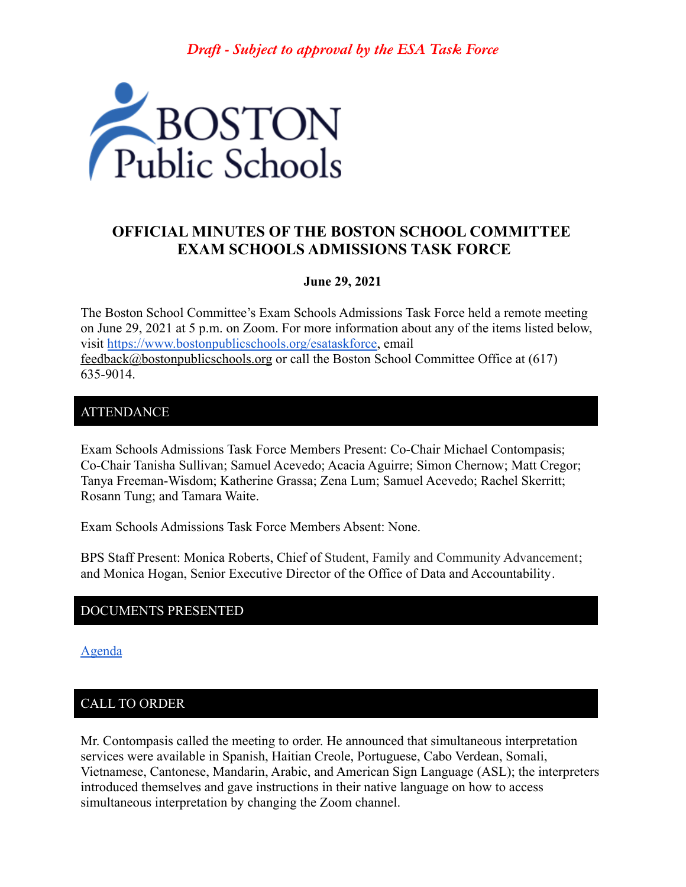*Draft - Subject to approval by the ESA Task Force*



# **OFFICIAL MINUTES OF THE BOSTON SCHOOL COMMITTEE EXAM SCHOOLS ADMISSIONS TASK FORCE**

### **June 29, 2021**

The Boston School Committee's Exam Schools Admissions Task Force held a remote meeting on June 29, 2021 at 5 p.m. on Zoom. For more information about any of the items listed below, visit [https://www.bostonpublicschools.org/esataskforce,](https://www.bostonpublicschools.org/esataskforce) email [feedback@bostonpublicschools.org](mailto:feedback@bostonpublicschools.org) or call the Boston School Committee Office at (617) 635-9014.

## ATTENDANCE

Exam Schools Admissions Task Force Members Present: Co-Chair Michael Contompasis; Co-Chair Tanisha Sullivan; Samuel Acevedo; Acacia Aguirre; Simon Chernow; Matt Cregor; Tanya Freeman-Wisdom; Katherine Grassa; Zena Lum; Samuel Acevedo; Rachel Skerritt; Rosann Tung; and Tamara Waite.

Exam Schools Admissions Task Force Members Absent: None.

BPS Staff Present: Monica Roberts, Chief of Student, Family and Community Advancement; and Monica Hogan, Senior Executive Director of the Office of Data and Accountability.

### DOCUMENTS PRESENTED

[Agenda](https://www.boston.gov/public-notices/15757701)

# CALL TO ORDER

Mr. Contompasis called the meeting to order. He announced that simultaneous interpretation services were available in Spanish, Haitian Creole, Portuguese, Cabo Verdean, Somali, Vietnamese, Cantonese, Mandarin, Arabic, and American Sign Language (ASL); the interpreters introduced themselves and gave instructions in their native language on how to access simultaneous interpretation by changing the Zoom channel.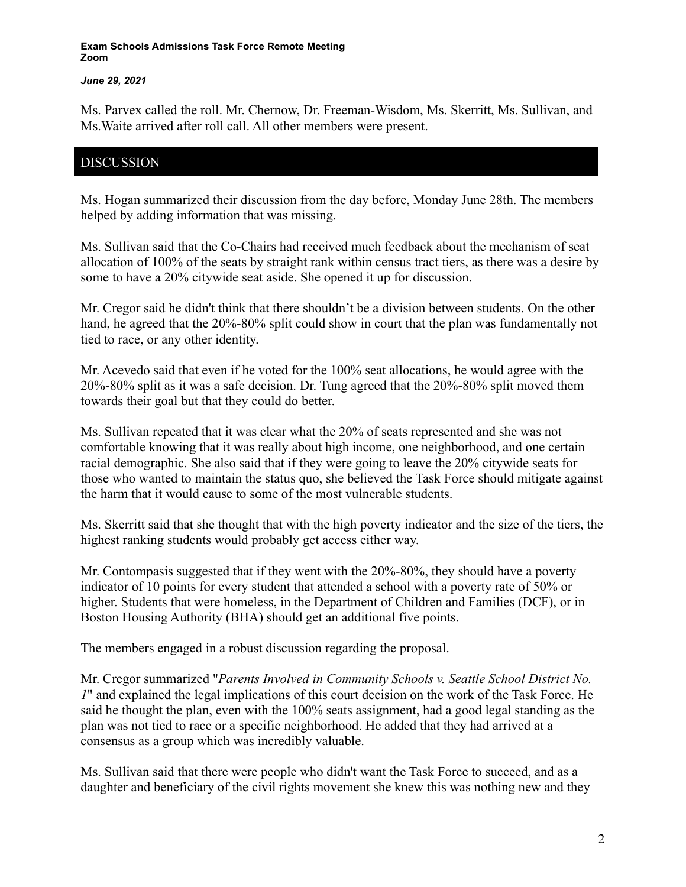#### *June 29, 2021*

Ms. Parvex called the roll. Mr. Chernow, Dr. Freeman-Wisdom, Ms. Skerritt, Ms. Sullivan, and Ms.Waite arrived after roll call. All other members were present.

## DISCUSSION

Ms. Hogan summarized their discussion from the day before, Monday June 28th. The members helped by adding information that was missing.

Ms. Sullivan said that the Co-Chairs had received much feedback about the mechanism of seat allocation of 100% of the seats by straight rank within census tract tiers, as there was a desire by some to have a 20% citywide seat aside. She opened it up for discussion.

Mr. Cregor said he didn't think that there shouldn't be a division between students. On the other hand, he agreed that the 20%-80% split could show in court that the plan was fundamentally not tied to race, or any other identity.

Mr. Acevedo said that even if he voted for the 100% seat allocations, he would agree with the 20%-80% split as it was a safe decision. Dr. Tung agreed that the 20%-80% split moved them towards their goal but that they could do better.

Ms. Sullivan repeated that it was clear what the 20% of seats represented and she was not comfortable knowing that it was really about high income, one neighborhood, and one certain racial demographic. She also said that if they were going to leave the 20% citywide seats for those who wanted to maintain the status quo, she believed the Task Force should mitigate against the harm that it would cause to some of the most vulnerable students.

Ms. Skerritt said that she thought that with the high poverty indicator and the size of the tiers, the highest ranking students would probably get access either way.

Mr. Contompasis suggested that if they went with the 20%-80%, they should have a poverty indicator of 10 points for every student that attended a school with a poverty rate of 50% or higher. Students that were homeless, in the Department of Children and Families (DCF), or in Boston Housing Authority (BHA) should get an additional five points.

The members engaged in a robust discussion regarding the proposal.

Mr. Cregor summarized "*Parents Involved in Community Schools v. Seattle School District No. 1*" and explained the legal implications of this court decision on the work of the Task Force. He said he thought the plan, even with the 100% seats assignment, had a good legal standing as the plan was not tied to race or a specific neighborhood. He added that they had arrived at a consensus as a group which was incredibly valuable.

Ms. Sullivan said that there were people who didn't want the Task Force to succeed, and as a daughter and beneficiary of the civil rights movement she knew this was nothing new and they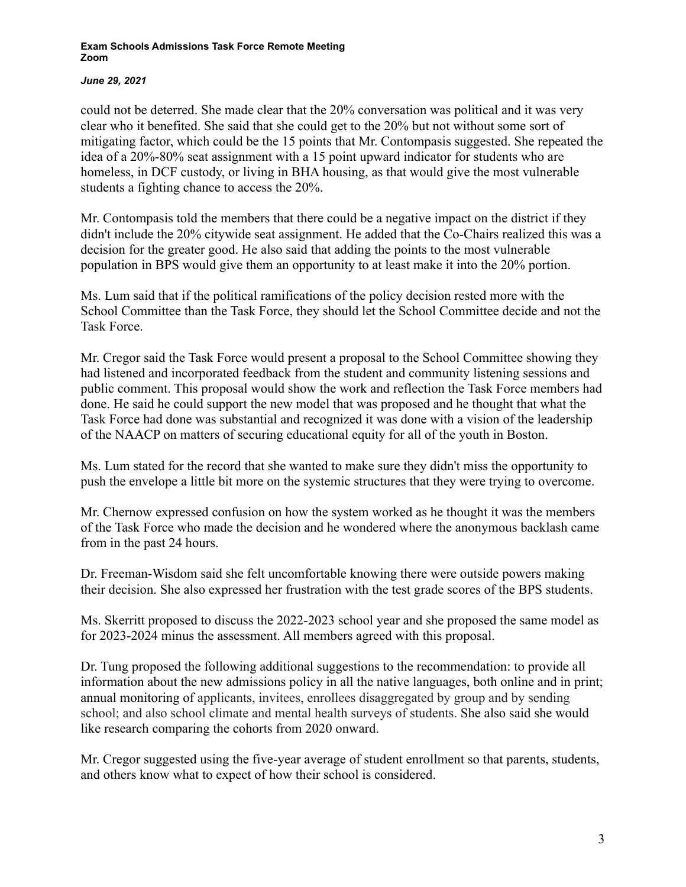### *June 29, 2021*

could not be deterred. She made clear that the 20% conversation was political and it was very clear who it benefited. She said that she could get to the 20% but not without some sort of mitigating factor, which could be the 15 points that Mr. Contompasis suggested. She repeated the idea of a 20%-80% seat assignment with a 15 point upward indicator for students who are homeless, in DCF custody, or living in BHA housing, as that would give the most vulnerable students a fighting chance to access the 20%.

Mr. Contompasis told the members that there could be a negative impact on the district if they didn't include the 20% citywide seat assignment. He added that the Co-Chairs realized this was a decision for the greater good. He also said that adding the points to the most vulnerable population in BPS would give them an opportunity to at least make it into the 20% portion.

Ms. Lum said that if the political ramifications of the policy decision rested more with the School Committee than the Task Force, they should let the School Committee decide and not the Task Force.

Mr. Cregor said the Task Force would present a proposal to the School Committee showing they had listened and incorporated feedback from the student and community listening sessions and public comment. This proposal would show the work and reflection the Task Force members had done. He said he could support the new model that was proposed and he thought that what the Task Force had done was substantial and recognized it was done with a vision of the leadership of the NAACP on matters of securing educational equity for all of the youth in Boston.

Ms. Lum stated for the record that she wanted to make sure they didn't miss the opportunity to push the envelope a little bit more on the systemic structures that they were trying to overcome.

Mr. Chernow expressed confusion on how the system worked as he thought it was the members of the Task Force who made the decision and he wondered where the anonymous backlash came from in the past 24 hours.

Dr. Freeman-Wisdom said she felt uncomfortable knowing there were outside powers making their decision. She also expressed her frustration with the test grade scores of the BPS students.

Ms. Skerritt proposed to discuss the 2022-2023 school year and she proposed the same model as for 2023-2024 minus the assessment. All members agreed with this proposal.

Dr. Tung proposed the following additional suggestions to the recommendation: to provide all information about the new admissions policy in all the native languages, both online and in print; annual monitoring of applicants, invitees, enrollees disaggregated by group and by sending school; and also school climate and mental health surveys of students. She also said she would like research comparing the cohorts from 2020 onward.

Mr. Cregor suggested using the five-year average of student enrollment so that parents, students, and others know what to expect of how their school is considered.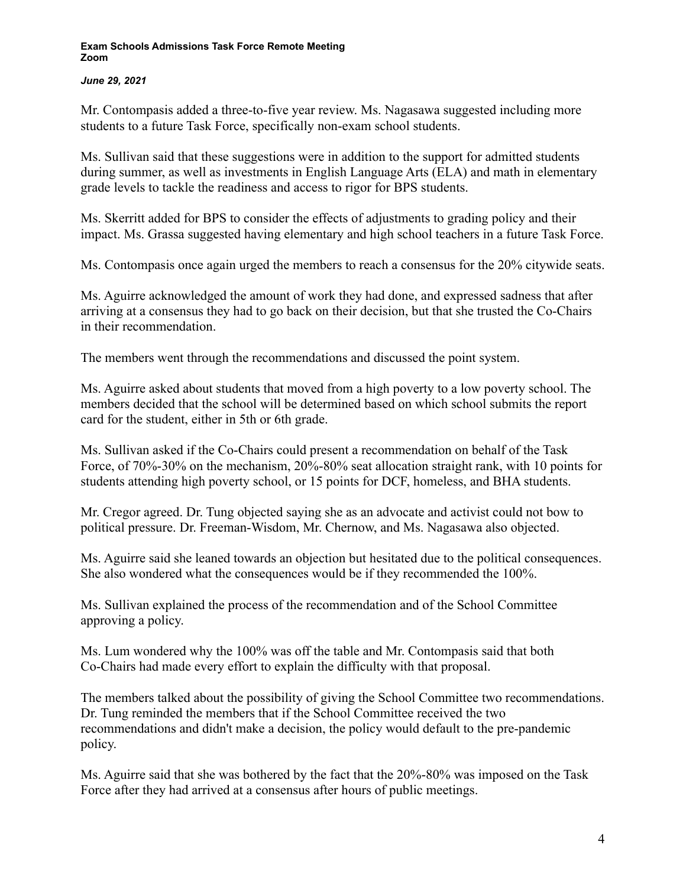### *June 29, 2021*

Mr. Contompasis added a three-to-five year review. Ms. Nagasawa suggested including more students to a future Task Force, specifically non-exam school students.

Ms. Sullivan said that these suggestions were in addition to the support for admitted students during summer, as well as investments in English Language Arts (ELA) and math in elementary grade levels to tackle the readiness and access to rigor for BPS students.

Ms. Skerritt added for BPS to consider the effects of adjustments to grading policy and their impact. Ms. Grassa suggested having elementary and high school teachers in a future Task Force.

Ms. Contompasis once again urged the members to reach a consensus for the 20% citywide seats.

Ms. Aguirre acknowledged the amount of work they had done, and expressed sadness that after arriving at a consensus they had to go back on their decision, but that she trusted the Co-Chairs in their recommendation.

The members went through the recommendations and discussed the point system.

Ms. Aguirre asked about students that moved from a high poverty to a low poverty school. The members decided that the school will be determined based on which school submits the report card for the student, either in 5th or 6th grade.

Ms. Sullivan asked if the Co-Chairs could present a recommendation on behalf of the Task Force, of 70%-30% on the mechanism, 20%-80% seat allocation straight rank, with 10 points for students attending high poverty school, or 15 points for DCF, homeless, and BHA students.

Mr. Cregor agreed. Dr. Tung objected saying she as an advocate and activist could not bow to political pressure. Dr. Freeman-Wisdom, Mr. Chernow, and Ms. Nagasawa also objected.

Ms. Aguirre said she leaned towards an objection but hesitated due to the political consequences. She also wondered what the consequences would be if they recommended the 100%.

Ms. Sullivan explained the process of the recommendation and of the School Committee approving a policy.

Ms. Lum wondered why the 100% was off the table and Mr. Contompasis said that both Co-Chairs had made every effort to explain the difficulty with that proposal.

The members talked about the possibility of giving the School Committee two recommendations. Dr. Tung reminded the members that if the School Committee received the two recommendations and didn't make a decision, the policy would default to the pre-pandemic policy.

Ms. Aguirre said that she was bothered by the fact that the 20%-80% was imposed on the Task Force after they had arrived at a consensus after hours of public meetings.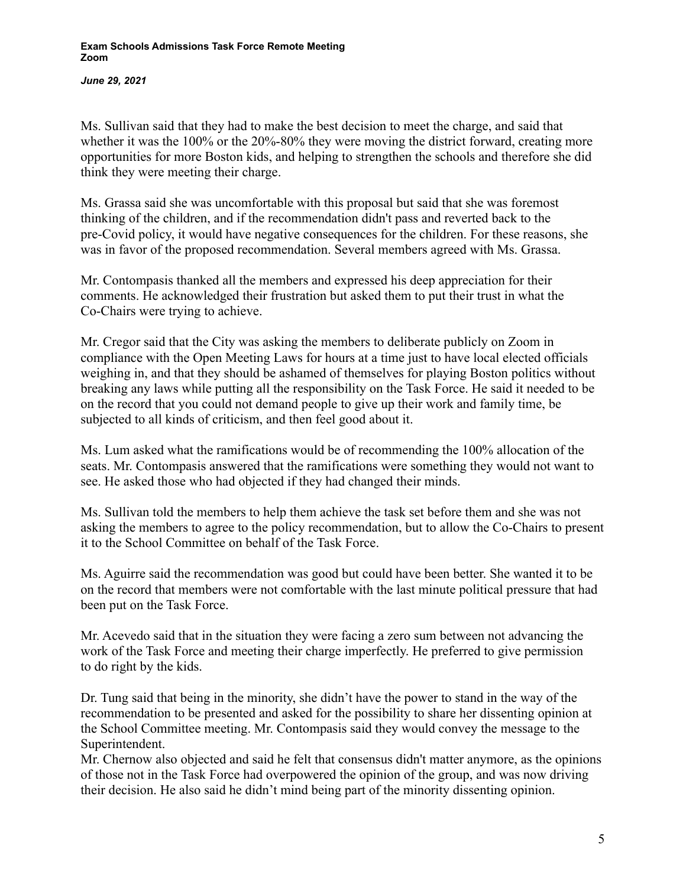*June 29, 2021*

Ms. Sullivan said that they had to make the best decision to meet the charge, and said that whether it was the 100% or the 20%-80% they were moving the district forward, creating more opportunities for more Boston kids, and helping to strengthen the schools and therefore she did think they were meeting their charge.

Ms. Grassa said she was uncomfortable with this proposal but said that she was foremost thinking of the children, and if the recommendation didn't pass and reverted back to the pre-Covid policy, it would have negative consequences for the children. For these reasons, she was in favor of the proposed recommendation. Several members agreed with Ms. Grassa.

Mr. Contompasis thanked all the members and expressed his deep appreciation for their comments. He acknowledged their frustration but asked them to put their trust in what the Co-Chairs were trying to achieve.

Mr. Cregor said that the City was asking the members to deliberate publicly on Zoom in compliance with the Open Meeting Laws for hours at a time just to have local elected officials weighing in, and that they should be ashamed of themselves for playing Boston politics without breaking any laws while putting all the responsibility on the Task Force. He said it needed to be on the record that you could not demand people to give up their work and family time, be subjected to all kinds of criticism, and then feel good about it.

Ms. Lum asked what the ramifications would be of recommending the 100% allocation of the seats. Mr. Contompasis answered that the ramifications were something they would not want to see. He asked those who had objected if they had changed their minds.

Ms. Sullivan told the members to help them achieve the task set before them and she was not asking the members to agree to the policy recommendation, but to allow the Co-Chairs to present it to the School Committee on behalf of the Task Force.

Ms. Aguirre said the recommendation was good but could have been better. She wanted it to be on the record that members were not comfortable with the last minute political pressure that had been put on the Task Force.

Mr. Acevedo said that in the situation they were facing a zero sum between not advancing the work of the Task Force and meeting their charge imperfectly. He preferred to give permission to do right by the kids.

Dr. Tung said that being in the minority, she didn't have the power to stand in the way of the recommendation to be presented and asked for the possibility to share her dissenting opinion at the School Committee meeting. Mr. Contompasis said they would convey the message to the Superintendent.

Mr. Chernow also objected and said he felt that consensus didn't matter anymore, as the opinions of those not in the Task Force had overpowered the opinion of the group, and was now driving their decision. He also said he didn't mind being part of the minority dissenting opinion.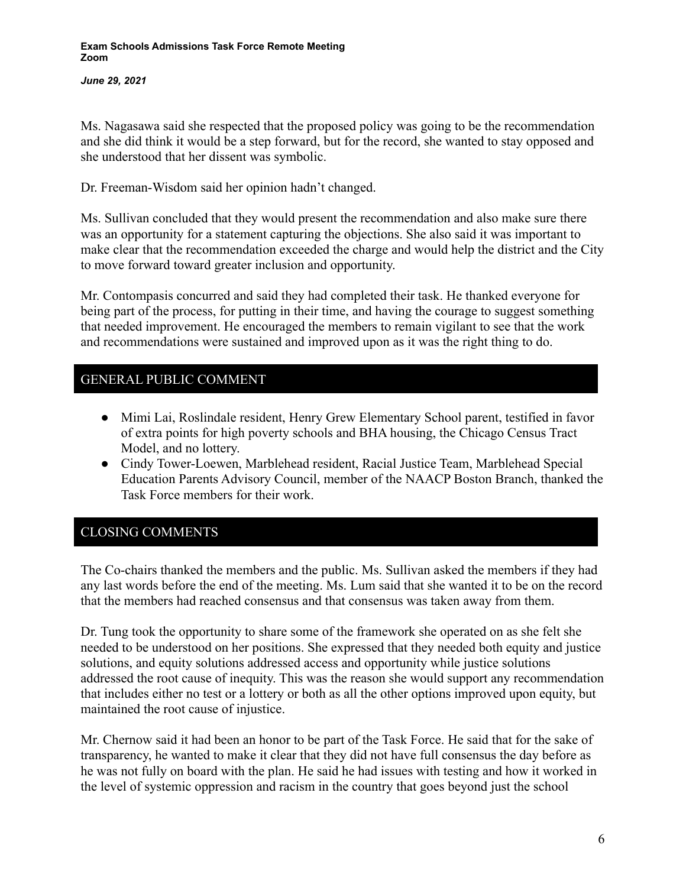*June 29, 2021*

Ms. Nagasawa said she respected that the proposed policy was going to be the recommendation and she did think it would be a step forward, but for the record, she wanted to stay opposed and she understood that her dissent was symbolic.

Dr. Freeman-Wisdom said her opinion hadn't changed.

Ms. Sullivan concluded that they would present the recommendation and also make sure there was an opportunity for a statement capturing the objections. She also said it was important to make clear that the recommendation exceeded the charge and would help the district and the City to move forward toward greater inclusion and opportunity.

Mr. Contompasis concurred and said they had completed their task. He thanked everyone for being part of the process, for putting in their time, and having the courage to suggest something that needed improvement. He encouraged the members to remain vigilant to see that the work and recommendations were sustained and improved upon as it was the right thing to do.

# GENERAL PUBLIC COMMENT

- Mimi Lai, Roslindale resident, Henry Grew Elementary School parent, testified in favor of extra points for high poverty schools and BHA housing, the Chicago Census Tract Model, and no lottery.
- Cindy Tower-Loewen, Marblehead resident, Racial Justice Team, Marblehead Special Education Parents Advisory Council, member of the NAACP Boston Branch, thanked the Task Force members for their work.

# CLOSING COMMENTS

The Co-chairs thanked the members and the public. Ms. Sullivan asked the members if they had any last words before the end of the meeting. Ms. Lum said that she wanted it to be on the record that the members had reached consensus and that consensus was taken away from them.

Dr. Tung took the opportunity to share some of the framework she operated on as she felt she needed to be understood on her positions. She expressed that they needed both equity and justice solutions, and equity solutions addressed access and opportunity while justice solutions addressed the root cause of inequity. This was the reason she would support any recommendation that includes either no test or a lottery or both as all the other options improved upon equity, but maintained the root cause of injustice.

Mr. Chernow said it had been an honor to be part of the Task Force. He said that for the sake of transparency, he wanted to make it clear that they did not have full consensus the day before as he was not fully on board with the plan. He said he had issues with testing and how it worked in the level of systemic oppression and racism in the country that goes beyond just the school